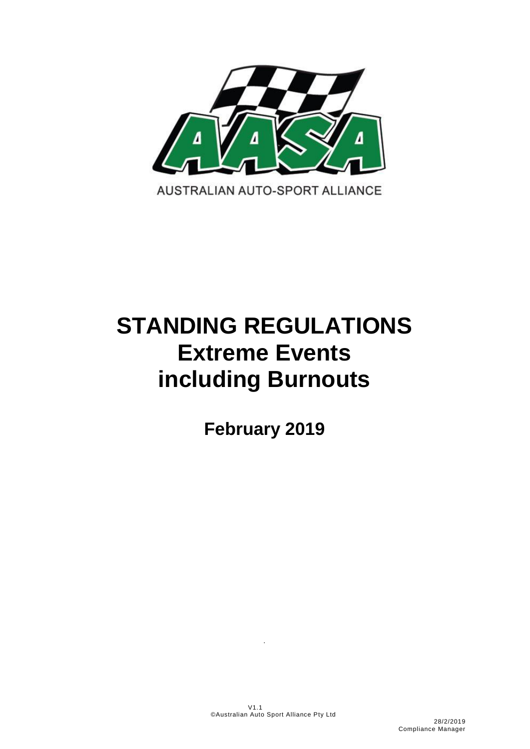

# **STANDING REGULATIONS Extreme Events including Burnouts**

**February 2019**

.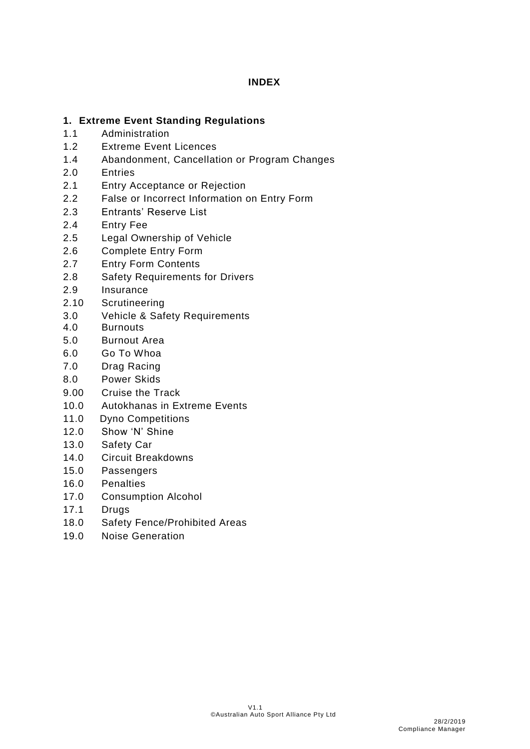# **INDEX**

# **1. Extreme Event Standing Regulations**

- 1.1 Administration
- 1.2 Extreme Event Licences
- 1.4 Abandonment, Cancellation or Program Changes
- 2.0 Entries
- 2.1 Entry Acceptance or Rejection
- 2.2 False or Incorrect Information on Entry Form
- 2.3 Entrants' Reserve List
- 2.4 Entry Fee
- 2.5 Legal Ownership of Vehicle
- 2.6 Complete Entry Form
- 2.7 Entry Form Contents
- 2.8 Safety Requirements for Drivers
- 2.9 Insurance
- 2.10 Scrutineering
- 3.0 Vehicle & Safety Requirements
- 4.0 Burnouts
- 5.0 Burnout Area
- 6.0 Go To Whoa
- 7.0 Drag Racing
- 8.0 Power Skids
- 9.00 Cruise the Track
- 10.0 Autokhanas in Extreme Events
- 11.0 Dyno Competitions
- 12.0 Show 'N' Shine
- 13.0 Safety Car
- 14.0 Circuit Breakdowns
- 15.0 Passengers
- 16.0 Penalties
- 17.0 Consumption Alcohol
- 17.1 Drugs
- 18.0 Safety Fence/Prohibited Areas
- 19.0 Noise Generation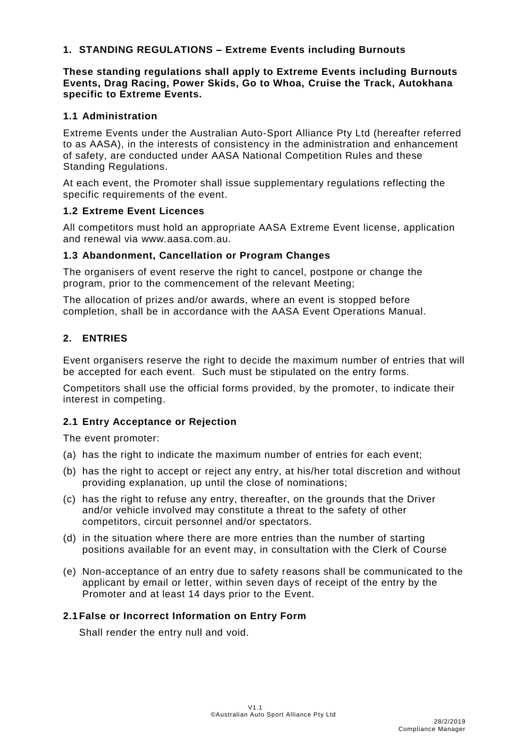# **1. STANDING REGULATIONS – Extreme Events including Burnouts**

## **These standing regulations shall apply to Extreme Events including Burnouts Events, Drag Racing, Power Skids, Go to Whoa, Cruise the Track, Autokhana specific to Extreme Events.**

## **1.1 Administration**

Extreme Events under the Australian Auto-Sport Alliance Pty Ltd (hereafter referred to as AASA), in the interests of consistency in the administration and enhancement of safety, are conducted under AASA National Competition Rules and these Standing Regulations.

At each event, the Promoter shall issue supplementary regulations reflecting the specific requirements of the event.

## **1.2 Extreme Event Licences**

All competitors must hold an appropriate AASA Extreme Event license, application and renewal via www.aasa.com.au.

## **1.3 Abandonment, Cancellation or Program Changes**

The organisers of event reserve the right to cancel, postpone or change the program, prior to the commencement of the relevant Meeting;

The allocation of prizes and/or awards, where an event is stopped before completion, shall be in accordance with the AASA Event Operations Manual.

# **2. ENTRIES**

Event organisers reserve the right to decide the maximum number of entries that will be accepted for each event. Such must be stipulated on the entry forms.

Competitors shall use the official forms provided, by the promoter, to indicate their interest in competing.

# **2.1 Entry Acceptance or Rejection**

The event promoter:

- (a) has the right to indicate the maximum number of entries for each event;
- (b) has the right to accept or reject any entry, at his/her total discretion and without providing explanation, up until the close of nominations;
- (c) has the right to refuse any entry, thereafter, on the grounds that the Driver and/or vehicle involved may constitute a threat to the safety of other competitors, circuit personnel and/or spectators.
- (d) in the situation where there are more entries than the number of starting positions available for an event may, in consultation with the Clerk of Course
- (e) Non-acceptance of an entry due to safety reasons shall be communicated to the applicant by email or letter, within seven days of receipt of the entry by the Promoter and at least 14 days prior to the Event.

# **2.1False or Incorrect Information on Entry Form**

Shall render the entry null and void.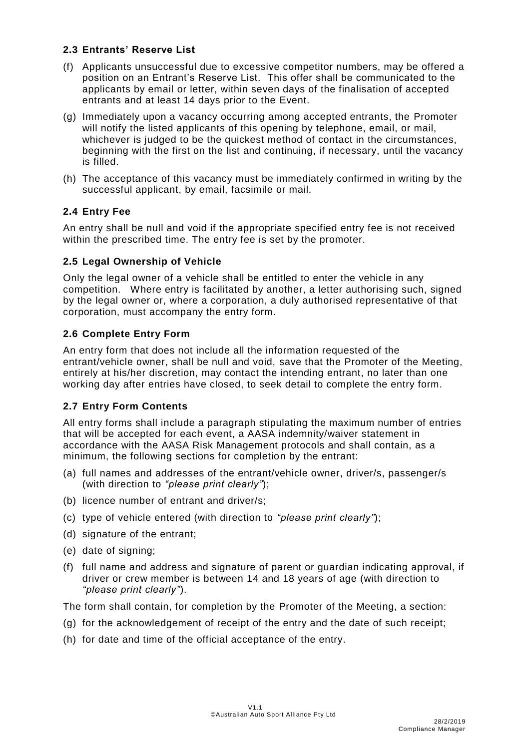# **2.3 Entrants' Reserve List**

- (f) Applicants unsuccessful due to excessive competitor numbers, may be offered a position on an Entrant's Reserve List. This offer shall be communicated to the applicants by email or letter, within seven days of the finalisation of accepted entrants and at least 14 days prior to the Event.
- (g) Immediately upon a vacancy occurring among accepted entrants, the Promoter will notify the listed applicants of this opening by telephone, email, or mail, whichever is judged to be the quickest method of contact in the circumstances, beginning with the first on the list and continuing, if necessary, until the vacancy is filled.
- (h) The acceptance of this vacancy must be immediately confirmed in writing by the successful applicant, by email, facsimile or mail.

# **2.4 Entry Fee**

An entry shall be null and void if the appropriate specified entry fee is not received within the prescribed time. The entry fee is set by the promoter.

## **2.5 Legal Ownership of Vehicle**

Only the legal owner of a vehicle shall be entitled to enter the vehicle in any competition. Where entry is facilitated by another, a letter authorising such, signed by the legal owner or, where a corporation, a duly authorised representative of that corporation, must accompany the entry form.

# **2.6 Complete Entry Form**

An entry form that does not include all the information requested of the entrant/vehicle owner, shall be null and void, save that the Promoter of the Meeting, entirely at his/her discretion, may contact the intending entrant, no later than one working day after entries have closed, to seek detail to complete the entry form.

# **2.7 Entry Form Contents**

All entry forms shall include a paragraph stipulating the maximum number of entries that will be accepted for each event, a AASA indemnity/waiver statement in accordance with the AASA Risk Management protocols and shall contain, as a minimum, the following sections for completion by the entrant:

- (a) full names and addresses of the entrant/vehicle owner, driver/s, passenger/s (with direction to *"please print clearly"*);
- (b) licence number of entrant and driver/s;
- (c) type of vehicle entered (with direction to *"please print clearly"*);
- (d) signature of the entrant;
- (e) date of signing;
- (f) full name and address and signature of parent or guardian indicating approval, if driver or crew member is between 14 and 18 years of age (with direction to *"please print clearly"*).

The form shall contain, for completion by the Promoter of the Meeting, a section:

- (g) for the acknowledgement of receipt of the entry and the date of such receipt;
- (h) for date and time of the official acceptance of the entry.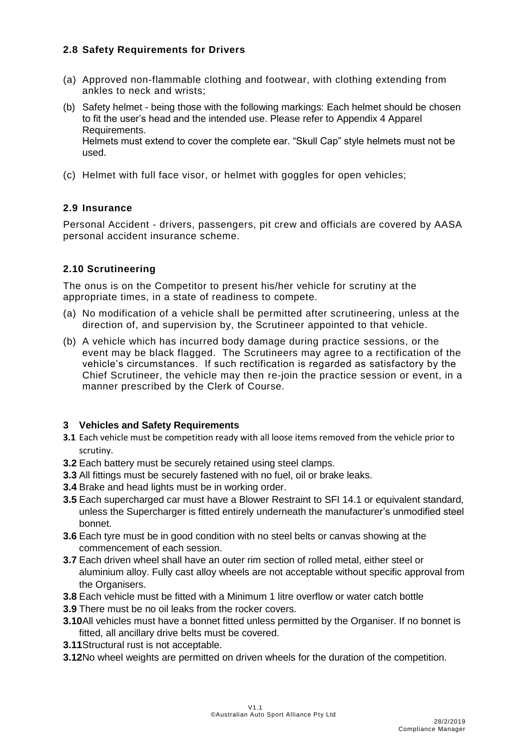# **2.8 Safety Requirements for Drivers**

- (a) Approved non-flammable clothing and footwear, with clothing extending from ankles to neck and wrists;
- (b) Safety helmet being those with the following markings: Each helmet should be chosen to fit the user's head and the intended use. Please refer to Appendix 4 Apparel Requirements.

Helmets must extend to cover the complete ear. "Skull Cap" style helmets must not be used.

(c) Helmet with full face visor, or helmet with goggles for open vehicles;

# **2.9 Insurance**

Personal Accident - drivers, passengers, pit crew and officials are covered by AASA personal accident insurance scheme.

# **2.10 Scrutineering**

The onus is on the Competitor to present his/her vehicle for scrutiny at the appropriate times, in a state of readiness to compete.

- (a) No modification of a vehicle shall be permitted after scrutineering, unless at the direction of, and supervision by, the Scrutineer appointed to that vehicle.
- (b) A vehicle which has incurred body damage during practice sessions, or the event may be black flagged. The Scrutineers may agree to a rectification of the vehicle's circumstances. If such rectification is regarded as satisfactory by the Chief Scrutineer, the vehicle may then re-join the practice session or event, in a manner prescribed by the Clerk of Course.

# **3 Vehicles and Safety Requirements**

- **3.1** Each vehicle must be competition ready with all loose items removed from the vehicle prior to scrutiny.
- **3.2** Each battery must be securely retained using steel clamps.
- **3.3** All fittings must be securely fastened with no fuel, oil or brake leaks.
- **3.4** Brake and head lights must be in working order.
- **3.5** Each supercharged car must have a Blower Restraint to SFI 14.1 or equivalent standard, unless the Supercharger is fitted entirely underneath the manufacturer's unmodified steel bonnet.
- **3.6** Each tyre must be in good condition with no steel belts or canvas showing at the commencement of each session.
- **3.7** Each driven wheel shall have an outer rim section of rolled metal, either steel or aluminium alloy. Fully cast alloy wheels are not acceptable without specific approval from the Organisers.
- **3.8** Each vehicle must be fitted with a Minimum 1 litre overflow or water catch bottle
- **3.9** There must be no oil leaks from the rocker covers.
- **3.10**All vehicles must have a bonnet fitted unless permitted by the Organiser. If no bonnet is fitted, all ancillary drive belts must be covered.
- **3.11**Structural rust is not acceptable.
- **3.12**No wheel weights are permitted on driven wheels for the duration of the competition.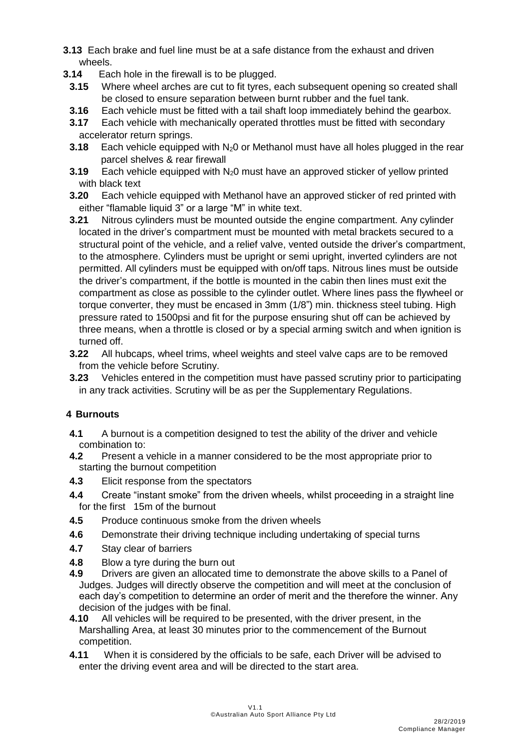- **3.13** Each brake and fuel line must be at a safe distance from the exhaust and driven wheels.
- **3.14** Each hole in the firewall is to be plugged.
	- **3.15** Where wheel arches are cut to fit tyres, each subsequent opening so created shall be closed to ensure separation between burnt rubber and the fuel tank.
	- **3.16** Each vehicle must be fitted with a tail shaft loop immediately behind the gearbox.
	- **3.17** Each vehicle with mechanically operated throttles must be fitted with secondary accelerator return springs.
	- **3.18** Each vehicle equipped with N<sub>2</sub>0 or Methanol must have all holes plugged in the rear parcel shelves & rear firewall
	- **3.19** Each vehicle equipped with N<sub>2</sub>0 must have an approved sticker of yellow printed with black text
	- **3.20** Each vehicle equipped with Methanol have an approved sticker of red printed with either "flamable liquid 3" or a large "M" in white text.
	- **3.21** Nitrous cylinders must be mounted outside the engine compartment. Any cylinder located in the driver's compartment must be mounted with metal brackets secured to a structural point of the vehicle, and a relief valve, vented outside the driver's compartment, to the atmosphere. Cylinders must be upright or semi upright, inverted cylinders are not permitted. All cylinders must be equipped with on/off taps. Nitrous lines must be outside the driver's compartment, if the bottle is mounted in the cabin then lines must exit the compartment as close as possible to the cylinder outlet. Where lines pass the flywheel or torque converter, they must be encased in 3mm (1/8") min. thickness steel tubing. High pressure rated to 1500psi and fit for the purpose ensuring shut off can be achieved by three means, when a throttle is closed or by a special arming switch and when ignition is turned off.
	- **3.22** All hubcaps, wheel trims, wheel weights and steel valve caps are to be removed from the vehicle before Scrutiny.
	- **3.23** Vehicles entered in the competition must have passed scrutiny prior to participating in any track activities. Scrutiny will be as per the Supplementary Regulations.

# **4 Burnouts**

- **4.1** A burnout is a competition designed to test the ability of the driver and vehicle combination to:
- **4.2** Present a vehicle in a manner considered to be the most appropriate prior to starting the burnout competition
- **4.3** Elicit response from the spectators
- **4.4** Create "instant smoke" from the driven wheels, whilst proceeding in a straight line for the first 15m of the burnout
- **4.5** Produce continuous smoke from the driven wheels
- **4.6** Demonstrate their driving technique including undertaking of special turns
- **4.7** Stay clear of barriers
- **4.8** Blow a tyre during the burn out
- **4.9** Drivers are given an allocated time to demonstrate the above skills to a Panel of Judges. Judges will directly observe the competition and will meet at the conclusion of each day's competition to determine an order of merit and the therefore the winner. Any decision of the judges with be final.
- **4.10** All vehicles will be required to be presented, with the driver present, in the Marshalling Area, at least 30 minutes prior to the commencement of the Burnout competition.
- **4.11** When it is considered by the officials to be safe, each Driver will be advised to enter the driving event area and will be directed to the start area.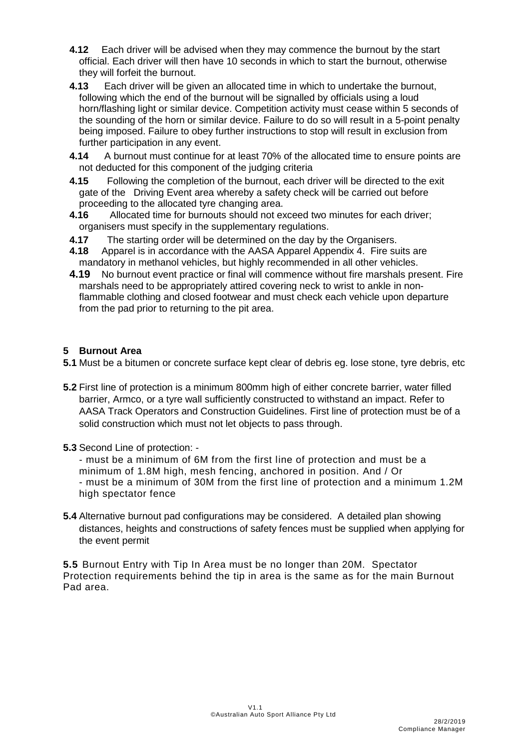- **4.12** Each driver will be advised when they may commence the burnout by the start official. Each driver will then have 10 seconds in which to start the burnout, otherwise they will forfeit the burnout.
- **4.13** Each driver will be given an allocated time in which to undertake the burnout, following which the end of the burnout will be signalled by officials using a loud horn/flashing light or similar device. Competition activity must cease within 5 seconds of the sounding of the horn or similar device. Failure to do so will result in a 5-point penalty being imposed. Failure to obey further instructions to stop will result in exclusion from further participation in any event.
- **4.14** A burnout must continue for at least 70% of the allocated time to ensure points are not deducted for this component of the judging criteria
- **4.15** Following the completion of the burnout, each driver will be directed to the exit gate of the Driving Event area whereby a safety check will be carried out before proceeding to the allocated tyre changing area.
- **4.16** Allocated time for burnouts should not exceed two minutes for each driver; organisers must specify in the supplementary regulations.
- **4.17** The starting order will be determined on the day by the Organisers.
- **4.18** Apparel is in accordance with the AASA Apparel Appendix 4. Fire suits are mandatory in methanol vehicles, but highly recommended in all other vehicles.
- **4.19** No burnout event practice or final will commence without fire marshals present. Fire marshals need to be appropriately attired covering neck to wrist to ankle in nonflammable clothing and closed footwear and must check each vehicle upon departure from the pad prior to returning to the pit area.

## **5 Burnout Area**

**5.1** Must be a bitumen or concrete surface kept clear of debris eg. lose stone, tyre debris, etc

- **5.2** First line of protection is a minimum 800mm high of either concrete barrier, water filled barrier, Armco, or a tyre wall sufficiently constructed to withstand an impact. Refer to AASA Track Operators and Construction Guidelines. First line of protection must be of a solid construction which must not let objects to pass through.
- **5.3** Second Line of protection: -

- must be a minimum of 6M from the first line of protection and must be a minimum of 1.8M high, mesh fencing, anchored in position. And / Or - must be a minimum of 30M from the first line of protection and a minimum 1.2M high spectator fence

**5.4** Alternative burnout pad configurations may be considered. A detailed plan showing distances, heights and constructions of safety fences must be supplied when applying for the event permit

**5.5** Burnout Entry with Tip In Area must be no longer than 20M. Spectator Protection requirements behind the tip in area is the same as for the main Burnout Pad area.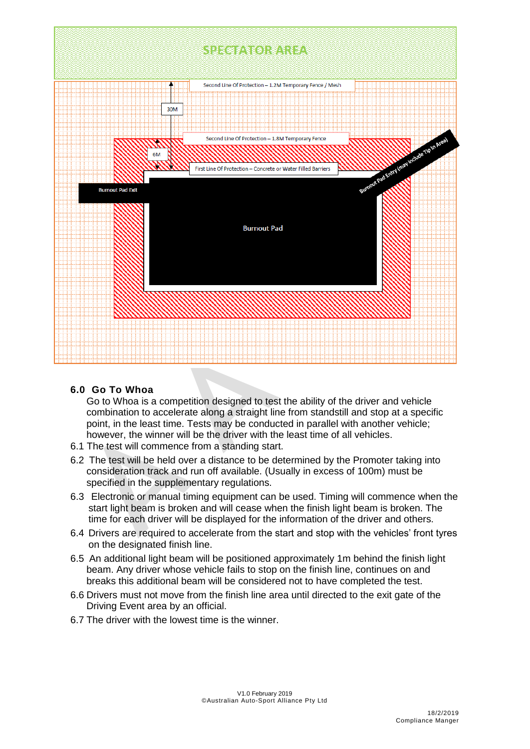

## **6.0 Go To Whoa**

Go to Whoa is a competition designed to test the ability of the driver and vehicle combination to accelerate along a straight line from standstill and stop at a specific point, in the least time. Tests may be conducted in parallel with another vehicle; however, the winner will be the driver with the least time of all vehicles.

- 6.1 The test will commence from a standing start.
- 6.2 The test will be held over a distance to be determined by the Promoter taking into consideration track and run off available. (Usually in excess of 100m) must be specified in the supplementary regulations.
- 6.3 Electronic or manual timing equipment can be used. Timing will commence when the start light beam is broken and will cease when the finish light beam is broken. The time for each driver will be displayed for the information of the driver and others.
- 6.4 Drivers are required to accelerate from the start and stop with the vehicles' front tyres on the designated finish line.
- 6.5 An additional light beam will be positioned approximately 1m behind the finish light beam. Any driver whose vehicle fails to stop on the finish line, continues on and breaks this additional beam will be considered not to have completed the test.
- 6.6 Drivers must not move from the finish line area until directed to the exit gate of the Driving Event area by an official.
- 6.7 The driver with the lowest time is the winner.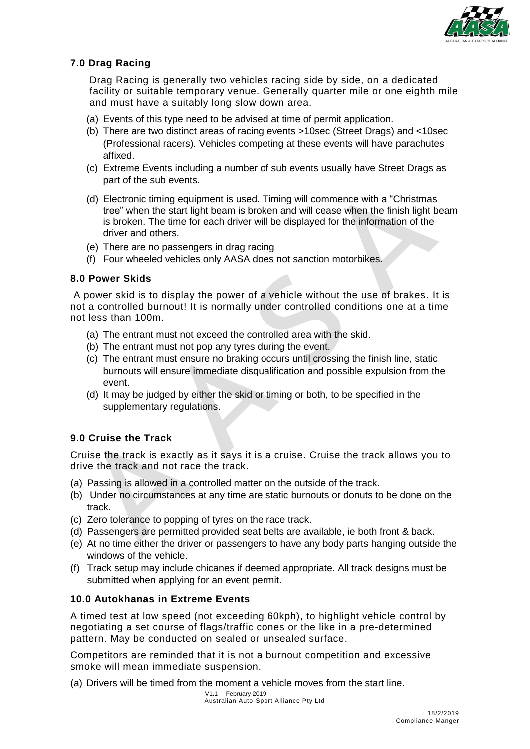

# **7.0 Drag Racing**

Drag Racing is generally two vehicles racing side by side, on a dedicated facility or suitable temporary venue. Generally quarter mile or one eighth mile and must have a suitably long slow down area.

- (a) Events of this type need to be advised at time of permit application.
- (b) There are two distinct areas of racing events >10sec (Street Drags) and <10sec (Professional racers). Vehicles competing at these events will have parachutes affixed.
- (c) Extreme Events including a number of sub events usually have Street Drags as part of the sub events.
- (d) Electronic timing equipment is used. Timing will commence with a "Christmas tree" when the start light beam is broken and will cease when the finish light beam is broken. The time for each driver will be displayed for the information of the driver and others.
- (e) There are no passengers in drag racing
- (f) Four wheeled vehicles only AASA does not sanction motorbikes.

## **8.0 Power Skids**

A power skid is to display the power of a vehicle without the use of brakes. It is not a controlled burnout! It is normally under controlled conditions one at a time not less than 100m.

- (a) The entrant must not exceed the controlled area with the skid.
- (b) The entrant must not pop any tyres during the event.
- (c) The entrant must ensure no braking occurs until crossing the finish line, static burnouts will ensure immediate disqualification and possible expulsion from the event.
- (d) It may be judged by either the skid or timing or both, to be specified in the supplementary regulations.

## **9.0 Cruise the Track**

Cruise the track is exactly as it says it is a cruise. Cruise the track allows you to drive the track and not race the track.

- (a) Passing is allowed in a controlled matter on the outside of the track.
- (b) Under no circumstances at any time are static burnouts or donuts to be done on the track.
- (c) Zero tolerance to popping of tyres on the race track.
- (d) Passengers are permitted provided seat belts are available, ie both front & back.
- (e) At no time either the driver or passengers to have any body parts hanging outside the windows of the vehicle.
- (f) Track setup may include chicanes if deemed appropriate. All track designs must be submitted when applying for an event permit.

## **10.0 Autokhanas in Extreme Events**

A timed test at low speed (not exceeding 60kph), to highlight vehicle control by negotiating a set course of flags/traffic cones or the like in a pre-determined pattern. May be conducted on sealed or unsealed surface.

Competitors are reminded that it is not a burnout competition and excessive smoke will mean immediate suspension.

(a) Drivers will be timed from the moment a vehicle moves from the start line.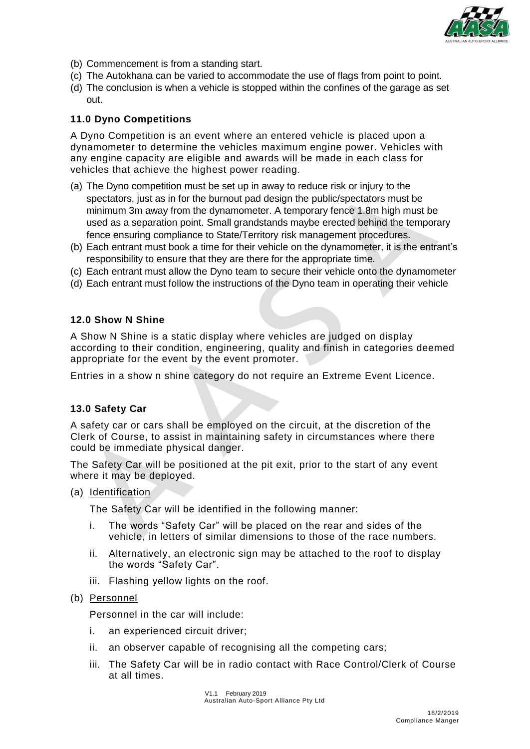

- (b) Commencement is from a standing start.
- (c) The Autokhana can be varied to accommodate the use of flags from point to point.
- (d) The conclusion is when a vehicle is stopped within the confines of the garage as set out.

## **11.0 Dyno Competitions**

A Dyno Competition is an event where an entered vehicle is placed upon a dynamometer to determine the vehicles maximum engine power. Vehicles with any engine capacity are eligible and awards will be made in each class for vehicles that achieve the highest power reading.

- (a) The Dyno competition must be set up in away to reduce risk or injury to the spectators, just as in for the burnout pad design the public/spectators must be minimum 3m away from the dynamometer. A temporary fence 1.8m high must be used as a separation point. Small grandstands maybe erected behind the temporary fence ensuring compliance to State/Territory risk management procedures.
- (b) Each entrant must book a time for their vehicle on the dynamometer, it is the entrant's responsibility to ensure that they are there for the appropriate time.
- (c) Each entrant must allow the Dyno team to secure their vehicle onto the dynamometer
- (d) Each entrant must follow the instructions of the Dyno team in operating their vehicle

#### **12.0 Show N Shine**

A Show N Shine is a static display where vehicles are judged on display according to their condition, engineering, quality and finish in categories deemed appropriate for the event by the event promoter.

Entries in a show n shine category do not require an Extreme Event Licence.

## **13.0 Safety Car**

A safety car or cars shall be employed on the circuit, at the discretion of the Clerk of Course, to assist in maintaining safety in circumstances where there could be immediate physical danger.

The Safety Car will be positioned at the pit exit, prior to the start of any event where it may be deployed.

(a) Identification

The Safety Car will be identified in the following manner:

- i. The words "Safety Car" will be placed on the rear and sides of the vehicle, in letters of similar dimensions to those of the race numbers.
- ii. Alternatively, an electronic sign may be attached to the roof to display the words "Safety Car".
- iii. Flashing yellow lights on the roof.
- (b) Personnel

Personnel in the car will include:

- i. an experienced circuit driver;
- ii. an observer capable of recognising all the competing cars;
- iii. The Safety Car will be in radio contact with Race Control/Clerk of Course at all times.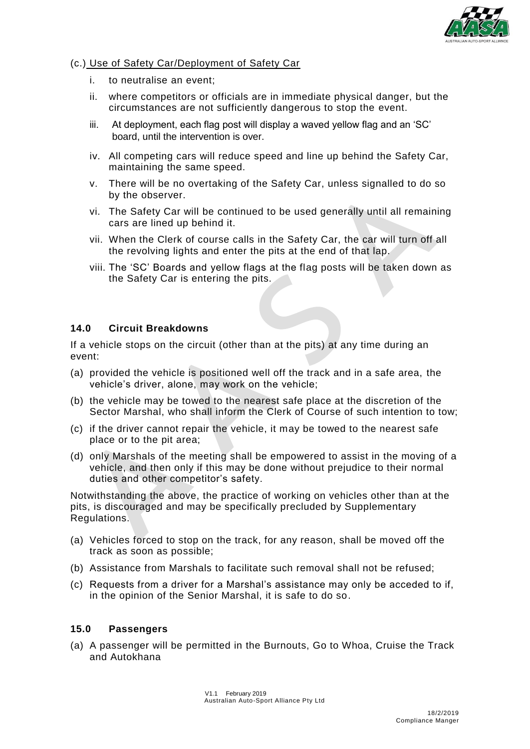

## (c.) Use of Safety Car/Deployment of Safety Car

- i. to neutralise an event;
- ii. where competitors or officials are in immediate physical danger, but the circumstances are not sufficiently dangerous to stop the event.
- iii. At deployment, each flag post will display a waved yellow flag and an 'SC' board, until the intervention is over.
- iv. All competing cars will reduce speed and line up behind the Safety Car, maintaining the same speed.
- v. There will be no overtaking of the Safety Car, unless signalled to do so by the observer.
- vi. The Safety Car will be continued to be used generally until all remaining cars are lined up behind it.
- vii. When the Clerk of course calls in the Safety Car, the car will turn off all the revolving lights and enter the pits at the end of that lap.
- viii. The 'SC' Boards and yellow flags at the flag posts will be taken down as the Safety Car is entering the pits.

## **14.0 Circuit Breakdowns**

If a vehicle stops on the circuit (other than at the pits) at any time during an event:

- (a) provided the vehicle is positioned well off the track and in a safe area, the vehicle's driver, alone, may work on the vehicle;
- (b) the vehicle may be towed to the nearest safe place at the discretion of the Sector Marshal, who shall inform the Clerk of Course of such intention to tow;
- (c) if the driver cannot repair the vehicle, it may be towed to the nearest safe place or to the pit area;
- (d) only Marshals of the meeting shall be empowered to assist in the moving of a vehicle, and then only if this may be done without prejudice to their normal duties and other competitor's safety.

Notwithstanding the above, the practice of working on vehicles other than at the pits, is discouraged and may be specifically precluded by Supplementary Regulations.

- (a) Vehicles forced to stop on the track, for any reason, shall be moved off the track as soon as possible;
- (b) Assistance from Marshals to facilitate such removal shall not be refused;
- (c) Requests from a driver for a Marshal's assistance may only be acceded to if, in the opinion of the Senior Marshal, it is safe to do so.

## **15.0 Passengers**

(a) A passenger will be permitted in the Burnouts, Go to Whoa, Cruise the Track and Autokhana